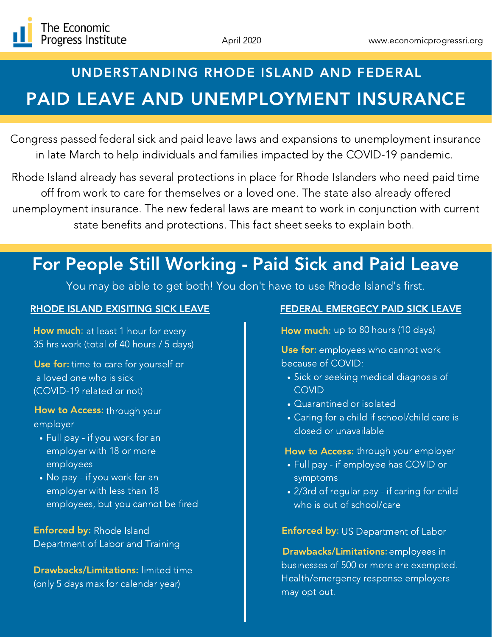

# PAID LEAVE AND UNEMPLOYMENT INSURANCE UNDERSTANDING RHODE ISLAND AND FEDERAL

Congress passed federal sick and paid leave laws and expansions to unemployment insurance in late March to help individuals and families impacted by the COVID-19 pandemic.

Rhode Island already has several protections in place for Rhode Islanders who need paid time off from work to care for themselves or a loved one. The state also already offered unemployment insurance. The new federal laws are meant to work in conjunction with current state benefits and protections. This fact sheet seeks to explain both.

# For People Still Working - Paid Sick and Paid Leave

You may be able to get both! You don't have to use Rhode Island's first.

How much: at least 1 hour for every 35 hrs work (total of 40 hours / 5 days)

Use for: time to care for yourself or a loved one who is sick (COVID-19 related or not)

### How to Access: through your employer

- Full pay if you work for an employer with 18 or more employees
- No pay if you work for an employer with less than 18 employees, but you cannot be fired

Enforced by: Rhode Island Department of Labor and Training

Drawbacks/Limitations: limited time (only 5 days max for calendar year)

### RHODE ISLAND EXISITING SICK LEAVE FEDERAL EMERGECY PAID SICK LEAVE

How much: up to 80 hours (10 days)

Use for: employees who cannot work because of COVID:

- Sick or seeking medical diagnosis of COVID
- Quarantined or isolated
- Caring for a child if school/child care is closed or unavailable

## How to Access: through your employer

- Full pay if employee has COVID or symptoms
- 2/3rd of regular pay if caring for child who is out of school/care

Enforced by: US Department of Labor

Drawbacks/Limitations: employees in businesses of 500 or more are exempted. Health/emergency response employers may opt out.